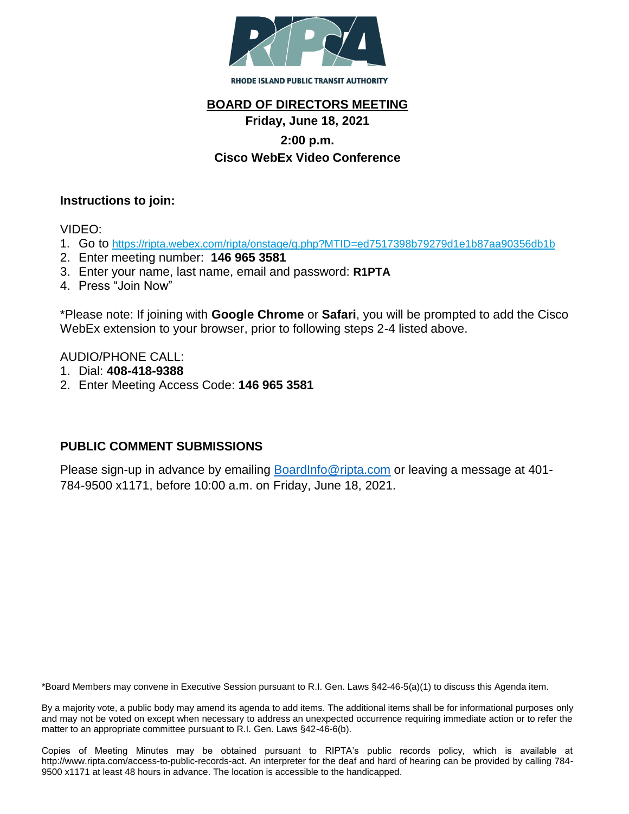

## **BOARD OF DIRECTORS MEETING**

# **Friday, June 18, 2021**

### **2:00 p.m.**

### **Cisco WebEx Video Conference**

#### **Instructions to join:**

VIDEO:

- 1. Go to <https://ripta.webex.com/ripta/onstage/g.php?MTID=ed7517398b79279d1e1b87aa90356db1b>
- 2. Enter meeting number: **146 965 3581**
- 3. Enter your name, last name, email and password: **R1PTA**
- 4. Press "Join Now"

\*Please note: If joining with **Google Chrome** or **Safari**, you will be prompted to add the Cisco WebEx extension to your browser, prior to following steps 2-4 listed above.

AUDIO/PHONE CALL:

- 1. Dial: **408-418-9388**
- 2. Enter Meeting Access Code: **146 965 3581**

### **PUBLIC COMMENT SUBMISSIONS**

Please sign-up in advance by emailing **BoardInfo@ripta.com** or leaving a message at 401-784-9500 x1171, before 10:00 a.m. on Friday, June 18, 2021.

\*Board Members may convene in Executive Session pursuant to R.I. Gen. Laws §42-46-5(a)(1) to discuss this Agenda item.

By a majority vote, a public body may amend its agenda to add items. The additional items shall be for informational purposes only and may not be voted on except when necessary to address an unexpected occurrence requiring immediate action or to refer the matter to an appropriate committee pursuant to R.I. Gen. Laws §42-46-6(b).

Copies of Meeting Minutes may be obtained pursuant to RIPTA's public records policy, which is available at http://www.ripta.com/access-to-public-records-act. An interpreter for the deaf and hard of hearing can be provided by calling 784- 9500 x1171 at least 48 hours in advance. The location is accessible to the handicapped.